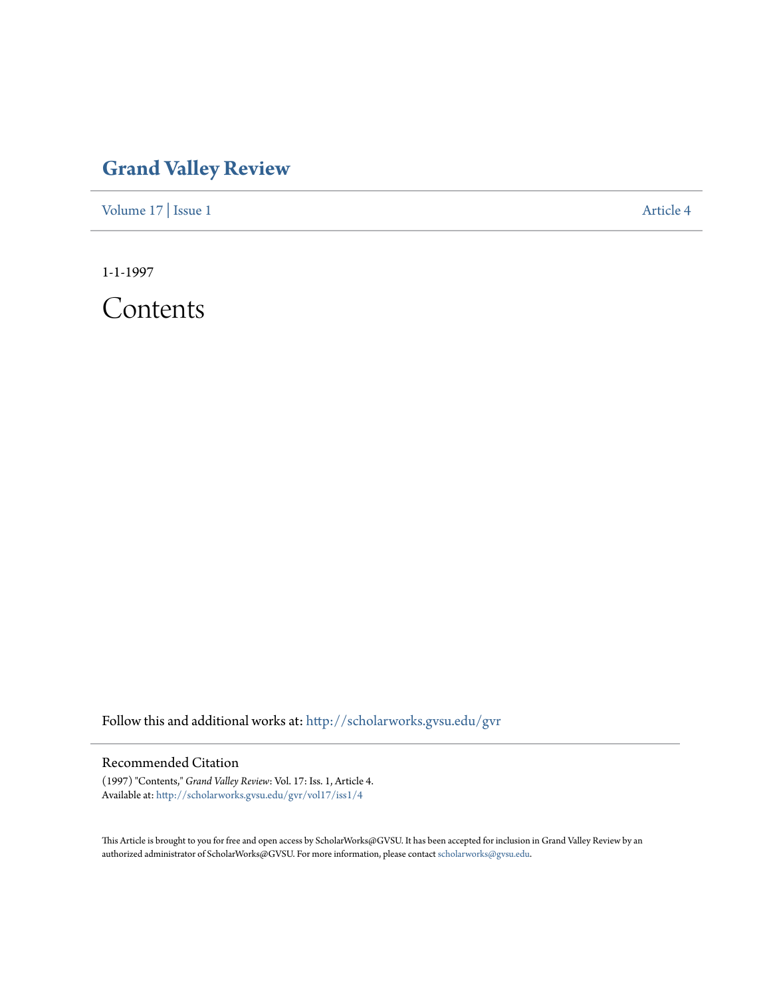## **[Grand Valley Review](http://scholarworks.gvsu.edu/gvr?utm_source=scholarworks.gvsu.edu%2Fgvr%2Fvol17%2Fiss1%2F4&utm_medium=PDF&utm_campaign=PDFCoverPages)**

[Volume 17](http://scholarworks.gvsu.edu/gvr/vol17?utm_source=scholarworks.gvsu.edu%2Fgvr%2Fvol17%2Fiss1%2F4&utm_medium=PDF&utm_campaign=PDFCoverPages) | [Issue 1](http://scholarworks.gvsu.edu/gvr/vol17/iss1?utm_source=scholarworks.gvsu.edu%2Fgvr%2Fvol17%2Fiss1%2F4&utm_medium=PDF&utm_campaign=PDFCoverPages) [Article 4](http://scholarworks.gvsu.edu/gvr/vol17/iss1/4?utm_source=scholarworks.gvsu.edu%2Fgvr%2Fvol17%2Fiss1%2F4&utm_medium=PDF&utm_campaign=PDFCoverPages)

1-1-1997

Contents

Follow this and additional works at: [http://scholarworks.gvsu.edu/gvr](http://scholarworks.gvsu.edu/gvr?utm_source=scholarworks.gvsu.edu%2Fgvr%2Fvol17%2Fiss1%2F4&utm_medium=PDF&utm_campaign=PDFCoverPages)

## Recommended Citation

(1997) "Contents," *Grand Valley Review*: Vol. 17: Iss. 1, Article 4. Available at: [http://scholarworks.gvsu.edu/gvr/vol17/iss1/4](http://scholarworks.gvsu.edu/gvr/vol17/iss1/4?utm_source=scholarworks.gvsu.edu%2Fgvr%2Fvol17%2Fiss1%2F4&utm_medium=PDF&utm_campaign=PDFCoverPages)

This Article is brought to you for free and open access by ScholarWorks@GVSU. It has been accepted for inclusion in Grand Valley Review by an authorized administrator of ScholarWorks@GVSU. For more information, please contact [scholarworks@gvsu.edu.](mailto:scholarworks@gvsu.edu)